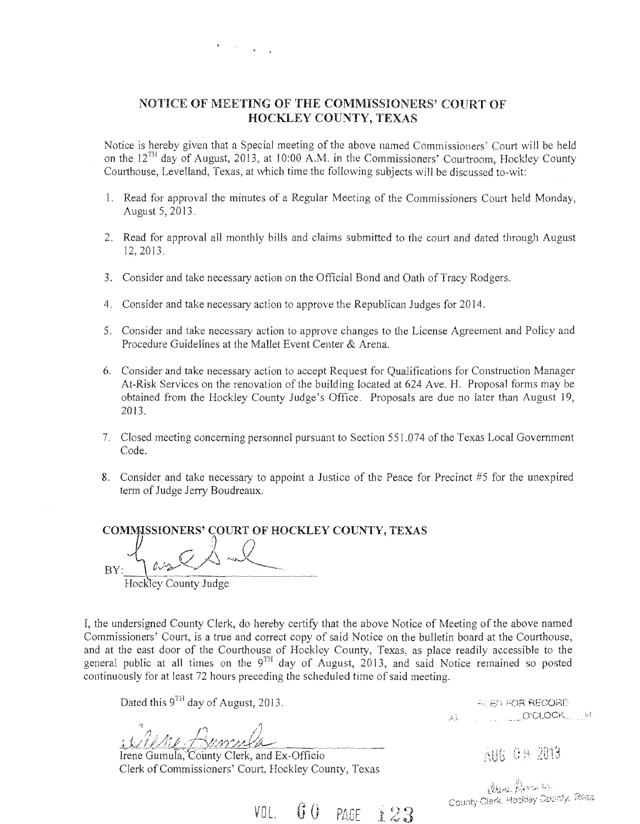### NOTICE OF MEETING OF THE COMMISSIONERS' COURT OF HOCKLEY COUNTY, TEXAS

Notice is hereby given that a Special meeting of the above named Commissioners' Court will be held on the 12<sup>TH</sup> day of August, 2013, at 10:00 A.M. in the Commissioners' Courtroom, Hockley County Courthouse, Levelland, Texas, at which time the following subjects will be discussed to-wit:

- 1. Read for approval the minutes of a Regular Meeting of the Commissioners Court held Monday, August 5, 2013.
- 2. Read for approval all monthly bills and claims submitted to the court and dated through August 12,2013.
- 3. Consider and take necessary action on the Official Bond and Oath of Tracy Rodgers.
- 4. Consider and take necessary action to approve the Republican Judges for 2014.
- 5. Consider and take necessary action to approve changes to the License Agreement and Policy and Procedure Guidelines at the Mallet Event Center & Arena.
- 6. Consider and take necessary action to accept Request for Qualifications for Construction Manager At-Risk Services on the renovation of the building located at 624 Ave. H. Proposal forms may be obtained from the Hockley County Judge's Office. Proposals are due no later than August 19, 2013.
- 7. Closed meeting concerning personnel pursuant to Section 551.074 of the Texas Local Government Code.
- 8. Consider and take necessary to appoint a Justice of the Peace for Precinct  $#5$  for the unexpired term of Judge Jerry Boudreaux.

 $\text{COMMISSIONERS'} \overleftrightarrow{ \text{COURT OF HOCKLEY COUNTY, TEXAS}} \nonumber$  $BY: \qquad 0$  $\mathbb{Z}_{2}$ Hockley County Judge ..

I, the undersigned County Clerk, do hereby certify that the above Notice of Meeting of the above named Commissioners' Court, is a true and correct copy of said Notice on the bulletin board at the Courthouse, and at the east door of the Courthouse of Hockley County, Texas, as place readily accessible to the general public at all times on the  $9^{TH}$  day of August, 2013, and said Notice remained so posted continuously for at least 72 hours preceding the scheduled time of said meeting.

Dated this 9<sup>TH</sup> day of August, 2013.

1 *Clerke Remains County Clerk*, and Ex-Officio

Clerk of Commissioners' Court, Hockley County, Texas

**ALED FOR RECORD** A O'CLOCK N

AU6 08 2013

the filling filling to the county Obert. Hookiey County. Tomas

VOL.  $60$  PAGE 123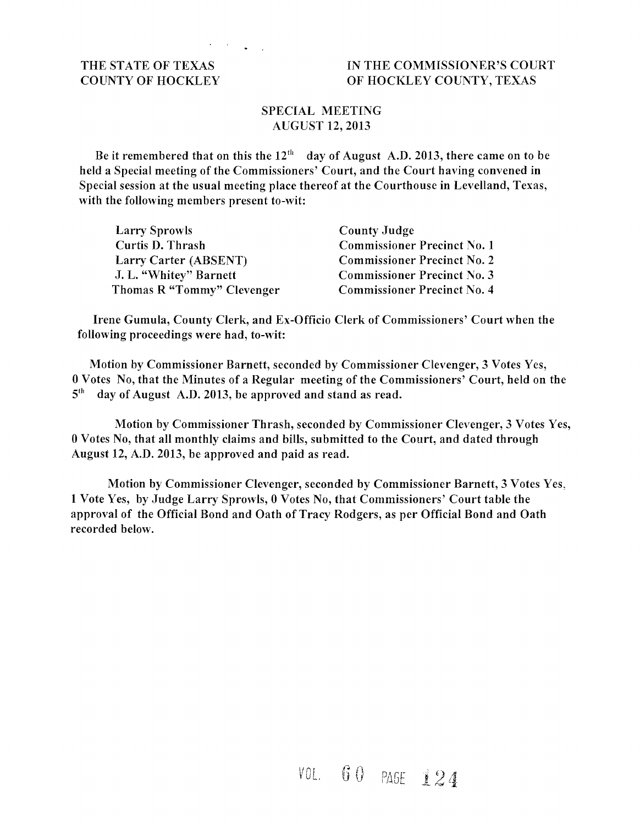### THE STATE OF TEXAS IN THE COMMISSIONER'S COURT COUNTY OF HOCKLEY OF HOCKLEY COUNTY, TEXAS

### SPECIAL MEETING AUGUST 12,2013

Be it remembered that on this the  $12<sup>th</sup>$  day of August A.D. 2013, there came on to be held a Special meeting of the Commissioners' Court, and the Court having convened in Special session at the usual meeting place thereof at the Courthouse in Levelland, Texas, with the following members present to-wit:

| <b>Larry Sprowls</b>       | <b>County Judge</b>                |
|----------------------------|------------------------------------|
| Curtis D. Thrash           | <b>Commissioner Precinct No. 1</b> |
| Larry Carter (ABSENT)      | <b>Commissioner Precinct No. 2</b> |
| J. L. "Whitey" Barnett     | <b>Commissioner Precinct No. 3</b> |
| Thomas R "Tommy" Clevenger | <b>Commissioner Precinct No. 4</b> |

Irene Gumula, County Clerk, and Ex-Officio Clerk of Commissioners' Court when the following proceedings were had, to-wit:

Motion by Commissioner Barnett, seconded by Commissioner Clevenger, 3 Votes Yes, 0 Votes No, that the Minutes of a Regular meeting of the Commissioners' Court, held on the  $5<sup>th</sup>$  day of August A.D. 2013, be approved and stand as read.

Motion by Commissioner Thrash, seconded by Commissioner Clevenger, 3 Votes Yes, 0 Votes No, that all monthly claims and bills, submitted to the Court, and dated through August 12, A.D. 2013, be approved and paid as read.

Motion by Commissioner Clevenger, seconded by Commissioner Barnett, 3 Votes Yes, 1 Vote Yes, by Judge Larry Sprowls, 0 Votes No, that Commissioners' Court table the approval of the Official Bond and Oath of Tracy Rodgers, as per Official Bond and Oath recorded below.

> $60$  PAGE 124  $V01$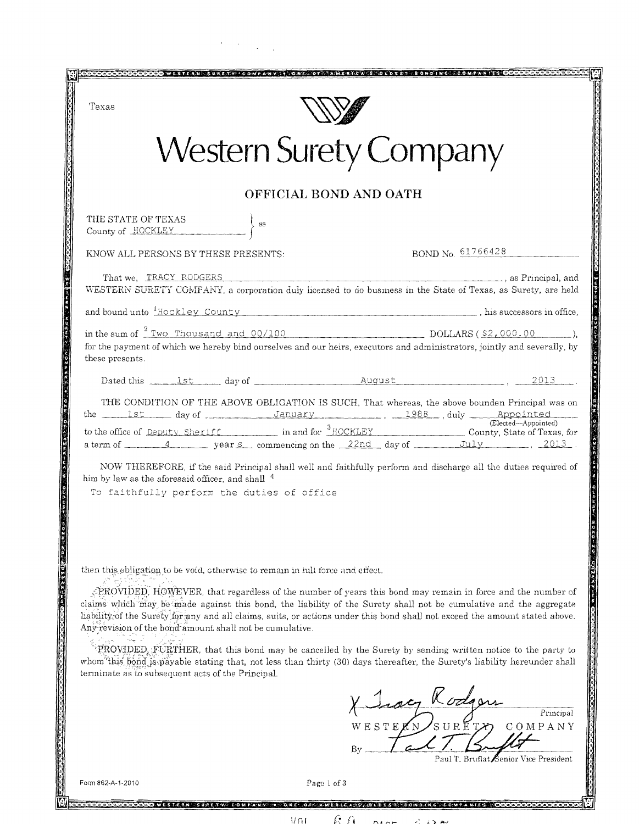| Texas                                                                                                                                     |                                                                                                                                                                                                                                                                                                                                                               |                  |                                       |  |
|-------------------------------------------------------------------------------------------------------------------------------------------|---------------------------------------------------------------------------------------------------------------------------------------------------------------------------------------------------------------------------------------------------------------------------------------------------------------------------------------------------------------|------------------|---------------------------------------|--|
| <b>Western Surety Company</b>                                                                                                             |                                                                                                                                                                                                                                                                                                                                                               |                  |                                       |  |
|                                                                                                                                           | OFFICIAL BOND AND OATH                                                                                                                                                                                                                                                                                                                                        |                  |                                       |  |
| THE STATE OF TEXAS $\begin{array}{c}\n\text{County of} \end{array} \begin{array}{c}\n\text{SUS} \\ \text{SUS} \\ \end{array} \end{array}$ |                                                                                                                                                                                                                                                                                                                                                               |                  |                                       |  |
| KNOW ALL PERSONS BY THESE PRESENTS:                                                                                                       |                                                                                                                                                                                                                                                                                                                                                               |                  | BOND No. 61766428                     |  |
|                                                                                                                                           | That we, TRACY RODGERS , and TRACY RODGERS , and TRACY RODGERS , and TRACY RODGERS , and TRACY RODGERS , and TRACY RODGERS , and TRACY RODGERS , and TRACY RODGERS , and TRACY RODGERS , and TRACY RODGERS , and TRACY RODGERS<br>WESTERN SURETY COMPANY, a corporation duly licensed to do business in the State of Texas, as Surety, are held               |                  |                                       |  |
|                                                                                                                                           | and bound unto $\frac{1}{2}$ Hockley County (county and county and county and county and county and county and county and county and county and county and county and county and county and county and county and county and count                                                                                                                            |                  |                                       |  |
| these presents.                                                                                                                           | in the sum of $\frac{2 \text{ Two}}{2 \text{ two}}$ Thousand and 00/100 DOLLARS (\$2,000.00 DOLLARS),<br>for the payment of which we hereby bind ourselves and our heirs, executors and administrators, jointly and severally, by                                                                                                                             |                  |                                       |  |
|                                                                                                                                           | Dated this <u>ist</u> day of <u>August</u> August 2013                                                                                                                                                                                                                                                                                                        |                  |                                       |  |
|                                                                                                                                           | THE CONDITION OF THE ABOVE OBLIGATION IS SUCH, That whereas, the above bounden Principal was on                                                                                                                                                                                                                                                               |                  |                                       |  |
|                                                                                                                                           | a term of $\frac{4}{2013}$ years commencing on the 22nd day of July 3013.                                                                                                                                                                                                                                                                                     |                  |                                       |  |
| him by law as the aforesaid officer, and shall <sup>4</sup>                                                                               | NOW THEREFORE, if the said Principal shall well and faithfully perform and discharge all the duties required of<br>To faithfully perform the duties of office                                                                                                                                                                                                 |                  |                                       |  |
|                                                                                                                                           | then this obligation to be void, otherwise to remain in full force and effect.                                                                                                                                                                                                                                                                                |                  |                                       |  |
| Any revision of the bond amount shall not be cumulative.                                                                                  | REQVIDED, HOWEVER, that regardless of the number of years this bond may remain in force and the number of<br>claims which may be made against this bond, the liability of the Surety shall not be cumulative and the aggregate<br>liability of the Surety for any and all claims, suits, or actions under this bond shall not exceed the amount stated above. |                  |                                       |  |
| terminate as to subsequent acts of the Principal.                                                                                         | PROVIDED, FURTHER, that this bond may be cancelled by the Surety by sending written notice to the party to<br>whom this bond is payable stating that, not less than thirty (30) days thereafter, the Surety's liability hereunder shall                                                                                                                       |                  |                                       |  |
|                                                                                                                                           |                                                                                                                                                                                                                                                                                                                                                               | X Joseph Rodgers | Principal<br>WESTERNSURETT, COMPANY   |  |
|                                                                                                                                           |                                                                                                                                                                                                                                                                                                                                                               |                  |                                       |  |
|                                                                                                                                           |                                                                                                                                                                                                                                                                                                                                                               | By               | Paul T. Bruflat Senior Vice President |  |

 $\sim$   $\sim$ 

J

囪

 $6\hskip 1mm$   $\hskip 1mm$   $\hskip 1mm$   $\hskip 1mm$   $\hskip 1mm$   $\hskip 1mm$   $\hskip 1mm$   $\hskip 1mm$   $\hskip 1mm$   $\hskip 1mm$   $\hskip 1mm$   $\hskip 1mm$   $\hskip 1mm$   $\hskip 1mm$   $\hskip 1mm$   $\hskip 1mm$   $\hskip 1mm$   $\hskip 1mm$   $\hskip 1mm$   $\hskip 1mm$   $\hskip 1mm$   $\hskip 1mm$   $\hskip 1mm$   $\hskip 1mm$   $\hskip$ 

 $D A A$ 

 $\mathbf{\hat{z}}$ 

<u>COCOOCOOCOO WESTERN "SURETY!" COMFANY O ORE OF AMERICA SI O DEST SONDING COMPANIES OOOO</u>  $\overline{M}$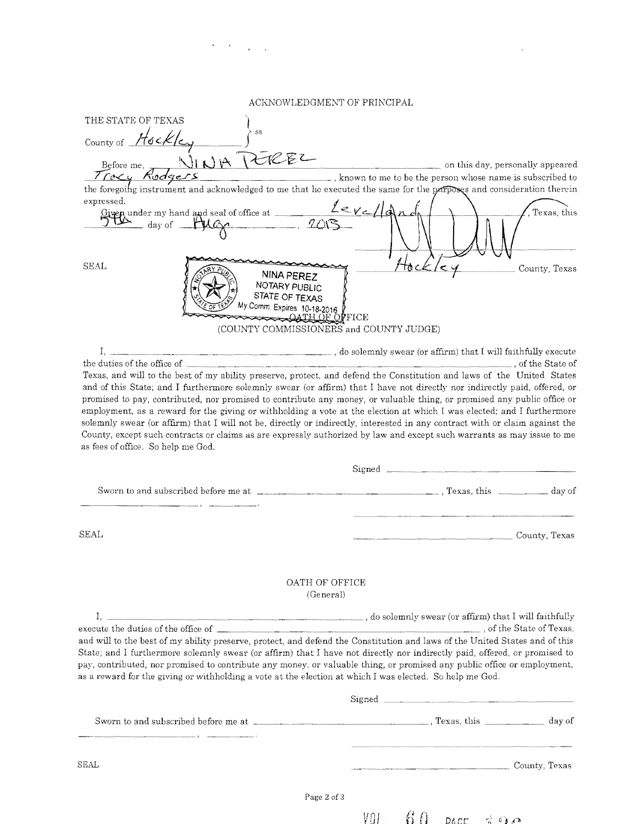### $\Lambda$ CKNOWLEDGMENT OF PRINCIPAL

 $\ddot{\phantom{0}}$ 

 $\sigma_{\rm c}$  ,  $\sigma_{\rm c}$  ,  $\sigma_{\rm c}$  ,  $\sigma_{\rm c}$ 

| THE STATE OF TEXAS                                                                                                                                                                                                                                  |                                                                                                                             |
|-----------------------------------------------------------------------------------------------------------------------------------------------------------------------------------------------------------------------------------------------------|-----------------------------------------------------------------------------------------------------------------------------|
| SS<br>County of Hockle                                                                                                                                                                                                                              |                                                                                                                             |
| Before me, NINA PEREZ                                                                                                                                                                                                                               | on this day, personally appeared                                                                                            |
|                                                                                                                                                                                                                                                     |                                                                                                                             |
| the foregoing instrument and acknowledged to me that he executed the same for the parposes and consideration therein                                                                                                                                |                                                                                                                             |
| expressed.                                                                                                                                                                                                                                          |                                                                                                                             |
| Given under my hand and seal of office at $\frac{2eV}{\sqrt{2}}$                                                                                                                                                                                    | Texas, this                                                                                                                 |
| <b>SEAL</b><br><b>NINA PEREZ</b><br>NOTARY PUBLIC<br>STATE OF TEXAS<br>My Comm. Expires 10-18-2016<br>(COUNTY COMMISSIONERS and COUNTY JUDGE)                                                                                                       | County, Texas                                                                                                               |
| I.                                                                                                                                                                                                                                                  | do solemnly swear (or affirm) that I will faithfully execute (containing the solemn of the secure and the secure            |
|                                                                                                                                                                                                                                                     |                                                                                                                             |
| Texas, and will to the best of my ability preserve, protect, and defend the Constitution and laws of the United States<br>and of this State; and I furthermore solemnly swear (or affirm) that I have not directly nor indirectly paid, offered, or |                                                                                                                             |
| promised to pay, contributed, nor promised to contribute any money, or valuable thing, or promised any public office or                                                                                                                             |                                                                                                                             |
| employment, as a reward for the giving or withholding a vote at the election at which I was elected; and I furthermore                                                                                                                              |                                                                                                                             |
|                                                                                                                                                                                                                                                     | solemnly swear (or affirm) that I will not be, directly or indirectly, interested in any contract with or claim against the |
|                                                                                                                                                                                                                                                     |                                                                                                                             |
| County, except such contracts or claims as are expressly authorized by law and except such warrants as may issue to me                                                                                                                              |                                                                                                                             |
| as fees of office. So help me God.                                                                                                                                                                                                                  |                                                                                                                             |
|                                                                                                                                                                                                                                                     | Signed                                                                                                                      |
|                                                                                                                                                                                                                                                     |                                                                                                                             |
|                                                                                                                                                                                                                                                     |                                                                                                                             |
| SEAL                                                                                                                                                                                                                                                | County, Texas                                                                                                               |
|                                                                                                                                                                                                                                                     |                                                                                                                             |
| OATH OF OFFICE<br>(General)                                                                                                                                                                                                                         |                                                                                                                             |
|                                                                                                                                                                                                                                                     |                                                                                                                             |
|                                                                                                                                                                                                                                                     |                                                                                                                             |
| and will to the best of my ability preserve, protect, and defend the Constitution and laws of the United States and of this                                                                                                                         |                                                                                                                             |
| State; and I furthermore solemnly swear (or affirm) that I have not directly nor indirectly paid, offered, or promised to                                                                                                                           |                                                                                                                             |
|                                                                                                                                                                                                                                                     |                                                                                                                             |
|                                                                                                                                                                                                                                                     |                                                                                                                             |
| pay, contributed, nor promised to contribute any money, or valuable thing, or promised any public office or employment,<br>as a reward for the giving or withholding a vote at the election at which I was elected. So help me God.                 |                                                                                                                             |
|                                                                                                                                                                                                                                                     |                                                                                                                             |
|                                                                                                                                                                                                                                                     |                                                                                                                             |
| SEAL                                                                                                                                                                                                                                                | County, Texas                                                                                                               |
|                                                                                                                                                                                                                                                     |                                                                                                                             |

Page 2 of 3

 $V0L$  60 pack  $390$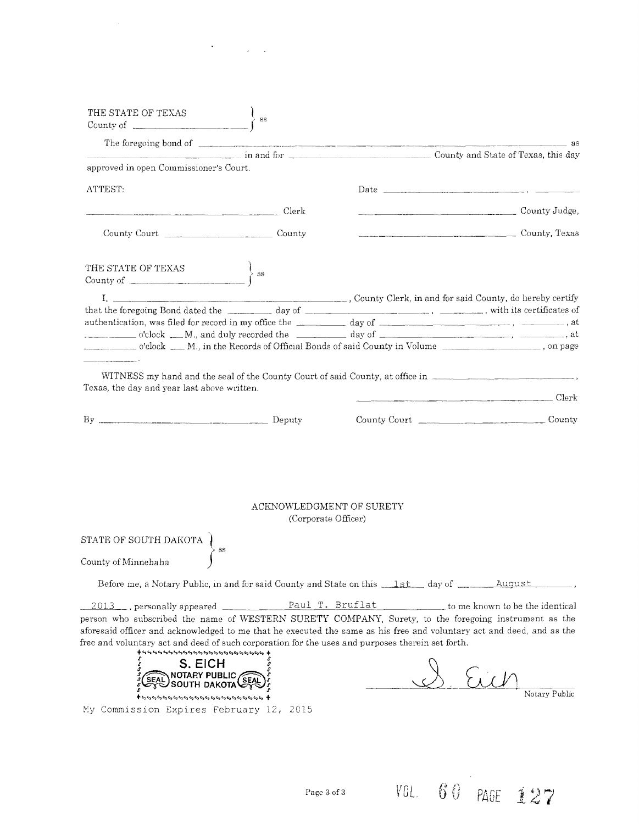| THE STATE OF TEXAS<br>THE STATE OF TEXAS<br>County of                                                                                                                                                                                                                                                                             | $\left\{\right\}$ ss |                                                                                       |                                                                                                                                                                                                                                                                                                                                                                                                                                           |
|-----------------------------------------------------------------------------------------------------------------------------------------------------------------------------------------------------------------------------------------------------------------------------------------------------------------------------------|----------------------|---------------------------------------------------------------------------------------|-------------------------------------------------------------------------------------------------------------------------------------------------------------------------------------------------------------------------------------------------------------------------------------------------------------------------------------------------------------------------------------------------------------------------------------------|
|                                                                                                                                                                                                                                                                                                                                   |                      |                                                                                       | as                                                                                                                                                                                                                                                                                                                                                                                                                                        |
|                                                                                                                                                                                                                                                                                                                                   |                      | County and State of Texas, this day                                                   |                                                                                                                                                                                                                                                                                                                                                                                                                                           |
| approved in open Commissioner's Court.                                                                                                                                                                                                                                                                                            |                      |                                                                                       |                                                                                                                                                                                                                                                                                                                                                                                                                                           |
| ATTEST:                                                                                                                                                                                                                                                                                                                           |                      |                                                                                       |                                                                                                                                                                                                                                                                                                                                                                                                                                           |
| Clerk                                                                                                                                                                                                                                                                                                                             |                      |                                                                                       | $\begin{tabular}{l} \hline \textbf{1} & \textbf{1} & \textbf{2} & \textbf{3} & \textbf{5} \\ \hline \textbf{2} & \textbf{3} & \textbf{1} & \textbf{2} & \textbf{3} & \textbf{1} \\ \hline \textbf{3} & \textbf{1} & \textbf{2} & \textbf{3} & \textbf{1} & \textbf{1} \\ \hline \textbf{4} & \textbf{1} & \textbf{2} & \textbf{3} & \textbf{1} & \textbf{1} \\ \hline \textbf{5} & \textbf{1} & \textbf{2} & \textbf{3} & \textbf{1} & \$ |
|                                                                                                                                                                                                                                                                                                                                   |                      |                                                                                       | County, Texas                                                                                                                                                                                                                                                                                                                                                                                                                             |
| THE STATE OF TEXAS $\begin{cases} \text{se} \\ \text{se} \end{cases}$                                                                                                                                                                                                                                                             |                      |                                                                                       |                                                                                                                                                                                                                                                                                                                                                                                                                                           |
|                                                                                                                                                                                                                                                                                                                                   |                      | I, County Clerk, in and for said County, do hereby certify                            |                                                                                                                                                                                                                                                                                                                                                                                                                                           |
| that the foregoing Bond dated the day of deterministic state of the serificates of                                                                                                                                                                                                                                                |                      |                                                                                       |                                                                                                                                                                                                                                                                                                                                                                                                                                           |
| authentication, was filed for record in my office the day of day of discussed and the method of and the set of $\sim$                                                                                                                                                                                                             |                      |                                                                                       |                                                                                                                                                                                                                                                                                                                                                                                                                                           |
| o'clock M., in the Records of Official Bonds of said County in Volume                                                                                                                                                                                                                                                             |                      |                                                                                       |                                                                                                                                                                                                                                                                                                                                                                                                                                           |
|                                                                                                                                                                                                                                                                                                                                   |                      |                                                                                       |                                                                                                                                                                                                                                                                                                                                                                                                                                           |
|                                                                                                                                                                                                                                                                                                                                   | (Corporate Officer)  | ACKNOWLEDGMENT OF SURETY                                                              |                                                                                                                                                                                                                                                                                                                                                                                                                                           |
| STATE OF SOUTH DAKOTA                                                                                                                                                                                                                                                                                                             |                      |                                                                                       |                                                                                                                                                                                                                                                                                                                                                                                                                                           |
| SS<br>County of Minnehaha                                                                                                                                                                                                                                                                                                         |                      |                                                                                       |                                                                                                                                                                                                                                                                                                                                                                                                                                           |
|                                                                                                                                                                                                                                                                                                                                   |                      | Before me, a Notary Public, in and for said County and State on this 1st day of _____ | August                                                                                                                                                                                                                                                                                                                                                                                                                                    |
| $\frac{2013}{ }$ , personally appeared $\frac{ }{ }$                                                                                                                                                                                                                                                                              |                      | Paul T. Bruflat                                                                       | to me known to be the identical                                                                                                                                                                                                                                                                                                                                                                                                           |
| person who subscribed the name of WESTERN SURETY COMPANY, Surety, to the foregoing instrument as the<br>aforesaid officer and acknowledged to me that he executed the same as his free and voluntary act and deed, and as the<br>free and voluntary act and deed of such corporation for the uses and purposes therein set forth. |                      |                                                                                       |                                                                                                                                                                                                                                                                                                                                                                                                                                           |
| S. EICH<br>)<br>South dakota                                                                                                                                                                                                                                                                                                      |                      |                                                                                       | Notary Public                                                                                                                                                                                                                                                                                                                                                                                                                             |

 $\mathcal{O}(\mathcal{O}_\mathcal{O})$  . The  $\mathcal{O}_\mathcal{O}(\mathcal{O})$ 

My Commission Expires February 12, 2015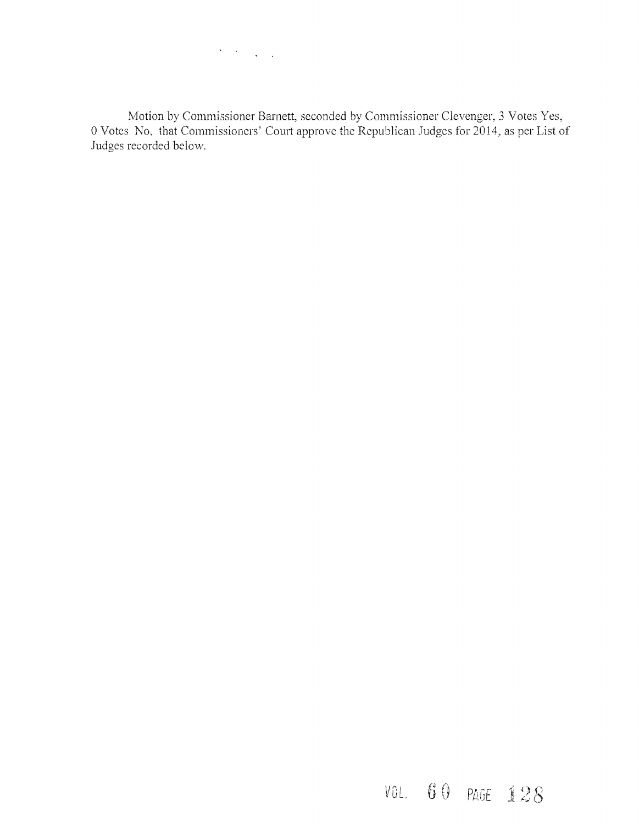$\label{eq:2} \mathcal{F}^{\text{max}}_{\text{max}} = \frac{1}{2} \sum_{i=1}^{N} \frac{1}{\left( \mathcal{F}^{\text{max}}_{\text{max}} \right)^2} \sum_{i=1}^{N} \frac{1}{\left( \mathcal{F}^{\text{max}}_{\text{max}} \right)^2} \sum_{i=1}^{N} \frac{1}{\left( \mathcal{F}^{\text{max}}_{\text{max}} \right)^2} \sum_{i=1}^{N} \frac{1}{\left( \mathcal{F}^{\text{max}}_{\text{max}} \right)^2} \sum_{i=1}^{N} \frac{1}{\left( \mathcal{F$ 

Motion by Commissioner Barnett, seconded by Commissioner Clevenger, 3 Votes Yes, oVotes No, that Commissioners' Comt approve the Republican Judges for 2014, as per List of Judges recorded below.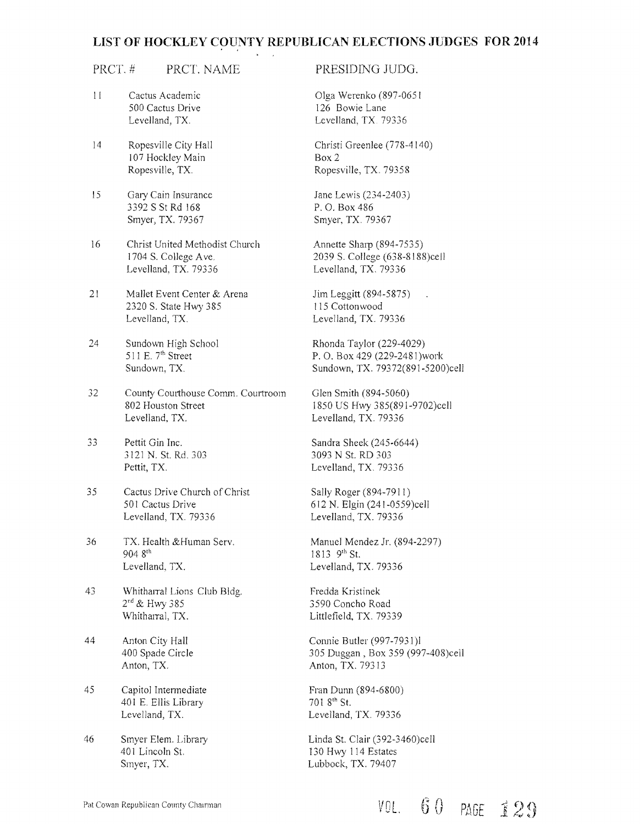### **LIST OF HOCKLEY COUNTY REPUBLICAN ELECTIONS JUDGES FOR 2014**

### PRCT. # PRCT. NAME

- II Cactus Academic 500 Cactus Drive Levelland, TX
- 14 Ropesville City Hall 107 Hockley Main Ropesville, TX.
- 15 Gary Cain Insurance 3392 S St Rd 168 Smyer, TX. 79367
- 16 Christ United Methodist Church 1704 S. College Ave. Levelland, TX. 79336
- 21 Mallet Event Center & Arena 2320 S. State Hwy 385 Levelland, TX.
- 24 Sundown High School 511 E. 7<sup>th</sup> Street Sundown, TX
- 32 County Courthouse Comm. Courtroom 802 Houston Street Levelland, TX
- **33** Pettit Gin Inc. 3121 N. st. Rd. 303 Pettit, TX.
- 35 Cactus Drive Church of Christ 501 Cactus Drive Levelland, TX. 79336
- 36 TX. Health & Human Serv. 904 8<sup>th</sup> Levelland. TX.
- 43 Whitharral Lions Club Bldg. 2<sup>nd</sup> & Hwy 385 Whitharral, TX.
- 44 Anton City Hall 400 Spade Circle Anton, TX.
- 45 Capitol Intennediate 401 E. Ellis Library Levelland, TX.
- 46 Smyer Elem. Library 401 Lincoln St Smyer, TX.

### PRESIDING JUDG.

Olga Werenko (897-0651 126 Bowie Lane Levelland, TX 79336

Christi Greenlee (778-4140) Box 2 RopesvilIe, TX. 79358

Jane Lewis (234-2403) P. O. Box 486 Smyer, TX. 79367

Annette Sharp (894-7535) 2039 S. College (638-8J88)cell Levelland, TX. 79336

Jim Leggitt (894-5875) 115 Cottonwood Levelland, TX. 79336

Rhonda Taylor (229-4029) P. O. Box 429 (229-2481)work Sundown, TX. 79372(891-5200)cell

Glen Smith (894-5060) J850 US Hwy 385(891-9702)cell Levelland, TX. 79336

Sandra Sheek (245-6644) 3093 N St. RD 303 Levelland, TX. 79336

Sally Roger (894-7911) 612 N. Elgin (241-0559)ce\l Levelland, TX. 79336

Manuel Mendez Jr. (894-2297) 1813 9th St. Levelland, TX. 79336

Fredda Kristinek 3590 Concho Road Littlefield, TX. 79339

Connie Butler (997-7931)l 305 Duggan, Box 359 (997-408)cell Anton, TX. 79313

Fran Dunn (894-6800) 701 8th St. Levelland, TX. 79336

Linda St. Clair (392-3460)cell 130 Hwy 114 Estates Lubbock, TX. 79407

## 60 PAGE 129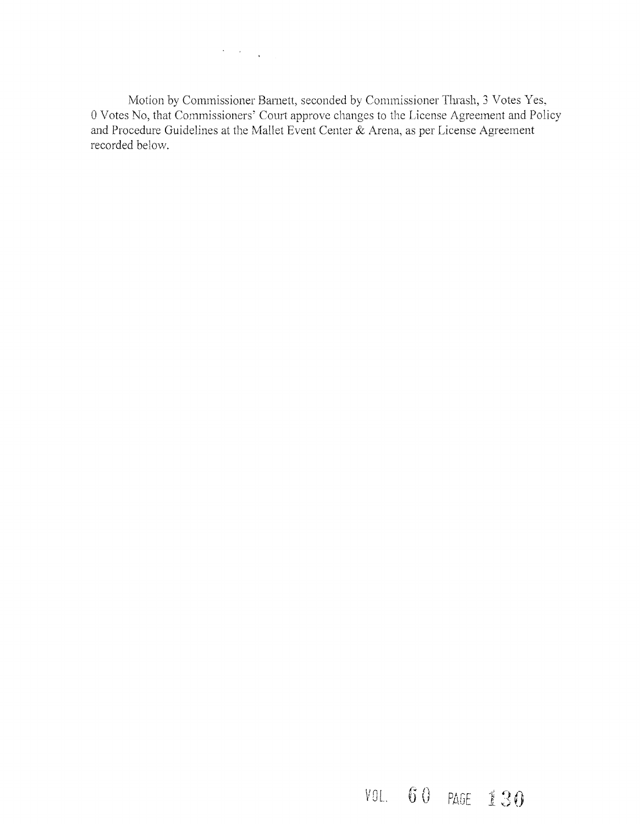$\label{eq:2} \mathcal{L}(\mathcal{F}) = \mathcal{L}(\mathcal{F}) \left( \mathcal{F}(\mathcal{F}) \right) \left( \mathcal{F}(\mathcal{F}) \right)$ 

Motion by Commissioner Bamett, seconded by Commissioner Thrash, 3 Votes Yes, 0 Votes No, that Commissioners' Court approve changes to the License Agreement and Policy and Procedure Guidelines at the Mallet Event Center & Arena, as per License Agreement recorded below.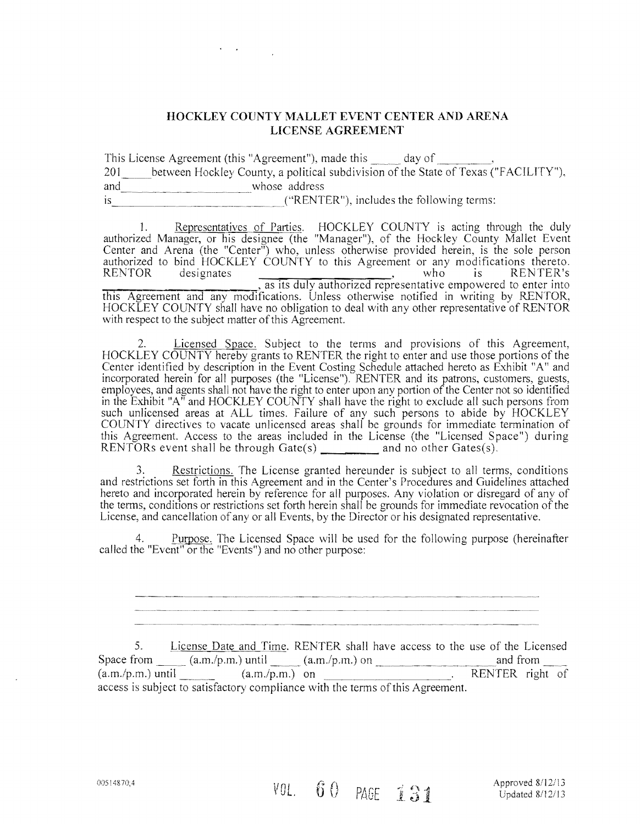### **HOCKLEY COUNTY MALLET EVENT CENTER AND ARENA LICENSE AGREEMENT**

This License Agreement (this "Agreement"), made this \_\_\_\_\_ day of \_\_\_\_\_\_\_\_ 201\_\_\_\_\_between Hockley County, a political subdivision of the State of Texas ("FACILITY"), and whose address Is \_\_\_\_\_\_\_\_\_j"RENTER"), includes the following terms:

1. Representatives of Parties. HOCKLEY COUNTY is acting through the duly authorized Manager, or his designee (the "Manager"), of the Hockley County Mallet Event Center and Arena (the "Center") who, unless otherwise provided herein, is the sole person authorized to bind HOCKLEY COUNTY to this Agreement or any modifications thereto. RENTOR designates , as its duly authorized representative empowered to enter into this Agreement and any modifications. Unless otherwise notified in writing by RENTOR, HOCKLEY COUNTY shall have no obligation to deal with any other representative of RENTOR with respect to the subject matter of this Agreement.

Licensed Space. Subject to the terms and provisions of this Agreement, HOCKLEY COUNTY hereby grants to RENTER the right to enter and use those portions of the Center identified by description in the Event Costing Schedule attached hereto as Exhibit *"A"* and incorporated herein for all purposes (the "License"). RENTER and its patrons, customers, guests, employees, and agents shall not have the right to enter upon any portion of the Center not so identified in the Exhibit "A" and HOCKLEY COL'NTY shall have the right to exclude all such persons from such unlicensed areas at ALL times. Failure of any such persons to abide by HOCKLEY COUNTY directives to vacate unlicensed areas shall be grounds for immediate termination of this Agreement. Access to the areas included in the License (the "Licensed Space") during RENTORs event shall be through  $Gate(s)$  and no other  $Gates(s)$ .

Restrictions. The License granted hereunder is subject to all terms, conditions and restrictions set forth in this Agreement and in the Center's Procedures and Guidelines attached hereto and incorporated herein by reference for all purposes. Any violation or disregard of any of the terms, conditions or restrictions set forth herein shall be grounds for immediate revocation of the License, and cancellation of any or all Events, by the Director or his designated representative.

4. Purpose. The Licensed Space will be used for the following purpose (hereinafter called the "Event" or the "Events") and no other purpose:

5. License Date and Time. RENTER shall have access to the use of the Licensed Space from  $\frac{\text{Eicense Date and Time. REN1 ER shan have access to the use of the EIC}}{(a.m./p.m.) until (a.m./p.m.) on$  $(a.m.p.m.)$  until  $(a.m.p.m.)$  on  $RENTER$  right of access is subject to satisfactory compliance with the terms of this Agreement.

00514870;4 <br> **COL. 6 0 PAGE 1 31** Approved 8/12/13<br>
Updated 8/12/13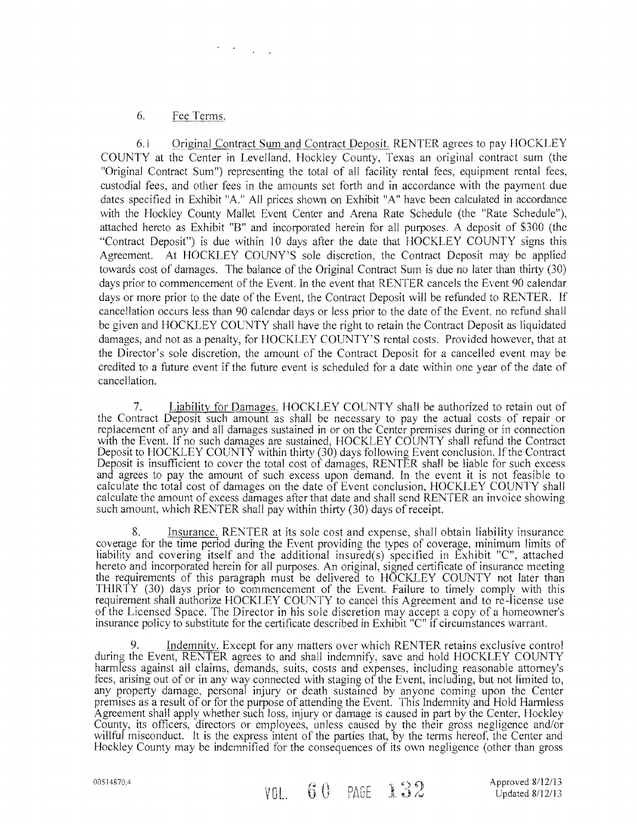### 6. Fee Terms.

 $\mathcal{O}(\mathcal{O}(\log n))$ 

6.1 Original Contract Sum and Contract Deposit. RENTER agrees to pay HOCKLEY COUNTY at the Center in Levelland, Hockley County, Texas an original contract sum (the "Original Contract Sum") representing the total of all facility rental fees, equipment rental fees, custodial fees, and other fees in the amounts set forth and in accordance with the payment due dates specified in Exhibit "A" All prices shown on Exhibit "A" have been calculated in accordance with the Hockley County Mallet Event Center and Arena Rate Schedule (the "Rate Schedule"), attached hereto as Exhibit "B" and incorporated herein for all purposes. A deposit of \$300 (the "Contract Deposit") is due within 10 days after the date that HOCKLEY COUNTY signs this Agreement. At HOCKLEY COUNY'S sole discretion, the Contract Deposit may be applied towards cost of damages. The balance of the Original Contract Sum is due no later than thirty (30) days prior to commencement of the Event In the event that RENTER cancels the Event 90 calendar days or more prior to the date of the Event, the Contract Deposit will be refunded to RENTER. If cancellation occurs less than 90 calendar days or less prior to the date of the Event, no refund shall be given and HOCKLEY COUNTY shall have the right to retain the Contract Deposit as liquidated damages, and not as a penalty, for HOCKLEY COUNTY'S rental costs. Provided however, that at the Director's sole discretion, the amount of the Contract Deposit for a cancelled event may be credited to a future event if the future event is scheduled for a date within one year of the date of cancellation.

7. Liability for Damages. HOCKLEY COUNTY shall be authorized to retain out of the Contract Deposit such amount as shall be necessary to pay the actual costs of repair or replacement of any and all damages sustained in or on the Center premises during or in connection with the Event. If no such damages are sustained, HOCKLEY COUNTY shall refund the Contract Deposit to HOCKLEY COUNTY within thirty (30) days following Event conclusion. If the Contract Deposit is insufficient to cover the total cost of damages, RENTER shall be liable for such excess and agrees to pay the amount of such excess upon demand. In the event it is not feasible to calculate the total cost of damages on the date of Event conclusion, HOCKLEY COUNTY shall calculate the amount of excess damages after that date and shall send RENTER an invoice showing such amount, which RENTER shall pay within thirty (30) days of receipt.

8. Insurance. RENTER at its sole cost and expense, shall obtain liability insurance coverage for the time period during the Event providing the types of coverage, minimum limits of liability and covering itself and the additional insured(s) specified in Exhibit "C", attached hereto and incorporated herein for all purposes. An original, signed certificate of insurance meeting the requirements of this paragraph must be delivered to HOCKLEY COUNTY not later than THIR TY (30) days prior to commencement of the Event. Failure to timely comply with this requirement shall authorize HOCKLEY COUNTY to cancel this Agreement and to re-license use of the Licensed Space. The Director in his sole discretion may accept a copy of a homeowner's insurance policy to substitute for the certificate described in Exhibit "C" if circumstances warrant.

9. Indemnity. Except for any matters over which RENTER retains exclusive control during the Event, RENTER agrees to and shall indemnify, save and hold HOCKLEY COUNTY hannless against all claims, demands, suits, costs and expenses, including reasonable attorney's fees, arising out of or in any way connected with staging of the Event, including, but not limited to, any property damage, personal injury or death sustained by anyone coming upon the Center premises as a result of or for the purpose of attending the Event. This Indemnity and Hold Harmless Agreement shall apply whether such loss, injury or damage is caused in part by the Center, Hockley County, its officers, directors or employees, unless caused by the their gross negligence and/or willful misconduct. It is the express intent of the parties that, by the terms hereof, the Center and Hockley County may be indemnified for the consequences of its own negligence (other than gross

00514870:4  $VOL. 60 \cdot PAGE 132$  Approved 8/12/13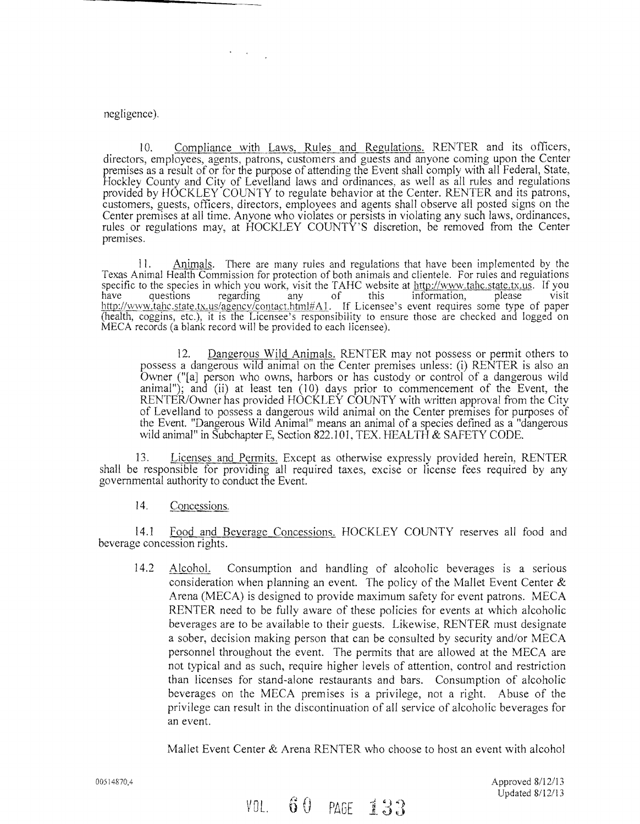### negligence).

10. Compliance with Laws. Rules and Regulations. RENTER and its officers, directors, employees, agents, patrons, customers and guests and anyone coming upon the Center premises as a result of or for the purpose of attending the Event shall comply with all Federal, State, Hockley County and City of Levelland laws and ordinances, as well as all rules and regulations provided by HOCKLEY COlJNTY to regulate behavior at the Center. RENTER and its patrons, customers, guests, officers, directors, employees and agents shall observe all posted signs on the Center premises at all time. Anyone who violates or persists in violating any such laws, ordinances, rules. or regulations may, at HOCKLEY COUNTY'S discretion, be removed from the Center premises.

II. Animals. There are many rules and regulations that have been implemented by the Texas Animal Health Commission for protection of both animals and clientele. For rules and regulations specific to the species in which you work, visit the TAHC website at http://www.tahc.state.tx.us. If you<br>have questions regarding any of this information, please visit http://www.tahc.state.tx.us/agency/contact.html#A1. If Licensee's event requires some type of paper (health, coggins, etc.), it is the Licensee's responsibility to ensure those are checked and logged on MECA records (a blank record will be provided to each licensee).

12. Dangerous Wild Animals. RENTER may not possess or permit others to possess a dangerous wild animal on the Center premises unless: (i) RENTER is also an Owner ("[a] person who owns, harbors or has custody or control of a dangerous wild animal"); and (ii) at least ten (10) days prior to commencement of the Event, the RENTER/Owner has provided HOCKLEY COUNTY with written approval from the City of Levelland to possess a dangerous wild animal on the Center premises for purposes of the Event. "Dangerous Wild Animal" means an animal of a species defined as a "dangerous wild animal" in Subchapter E, Section 822.101, TEX. HEALTH & SAFETY CODE.

13. Licenses and Permits. Except as otherwise expressly provided herein, RENTER shall be responsible for providing all required taxes, excise or license fees required by any governmental authority to conduct the Event.

14. Concessions.

14.1 Food and Beverage Concessions. HOCKLEY COUNTY reserves all food and beverage concession rights.

14.2 AlcohoL Consumption and handling of alcoholic beverages is a serious consideration when planning an event. The policy of the Mallet Event Center & Arena (MECA) is designed to provide maximum safety for event patrons. MECA RENTER need to be fully aware of these policies for events at which alcoholic beverages are to be available to their guests. Likewise, RENTER must designate a sober, decision making person that can be consulted by security and/or MECA personnel throughout the event. The permits that are allowed at the MECA are not typical and as such, require higher levels of attention, control and restriction than licenses for stand-alone restaurants and bars. Consumption of alcoholic beverages on the MECA premises is a privilege, not a right. Abuse of the privilege can result in the discontinuation of all service of alcoholic beverages for an event.

Mallet Event Center & Arena RENTER who choose to host an event with alcohol

00514870;4 Approved 8/12/13 Updated 8/12/13

 $VOL. 60 PAGE 133$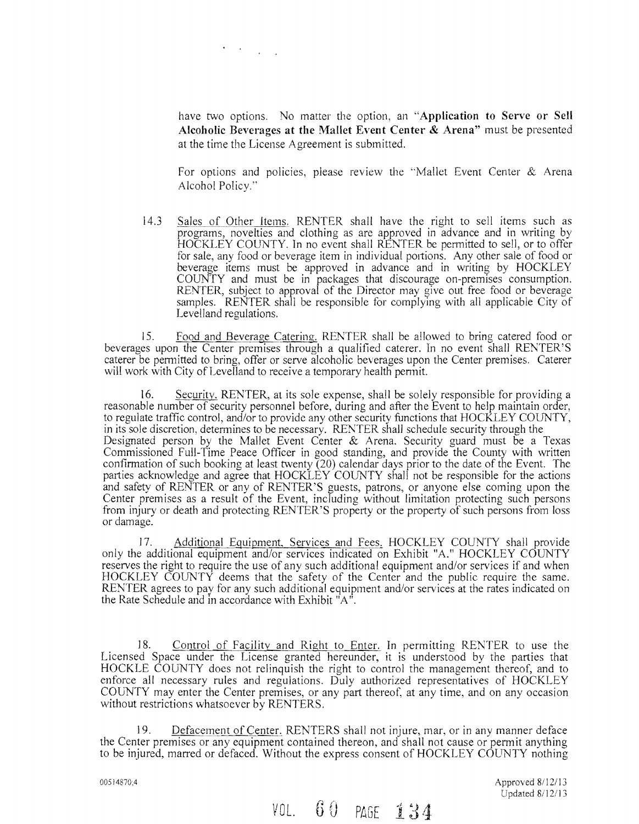have two options. No matter the option, an **"Application to Serve or Sell Alcoholic Beverages at the Mallet Event Center & Arena"** must be presented at the time the License Agreement is submitted.

For options and policies, please review the "Mallet Event Center & Arena Alcohol Policy."

14.3 Sales of Other Items. RENTER shall have the right to sell items such as programs, novelties and clothing as are approved in advance and in writing by HOCKLEY COUNTY. In no event shall RENTER be permitted to sell, or to offer for sale, any food or beverage item in individual portions. Any other sale of food or beverage items must be approved in advance and in writing by HOCKLEY COUNTY and must be in packages that discourage on-premises consumption. RENTER, subject to approval of the Director may give out free food or beverage samples. RENTER shall be responsible for complying with all applicable City of Levelland regulations.

15. Food and Beverage Catering. RENTER shall be allowed to bring catered food or beverages upon the Center premises through a qualified caterer. In no event shall RENTER'S caterer be permitted to bring, offer or serve alcoholic beverages upon the Center premises. Caterer will work with City of Levelland to receive a temporary health permit.

16. Security. RENTER, at its sole expense, shall be solely responsible for providing a reasonable number of security personnel before, during and after the Event to help maintain order, to regulate traffic control, *andlor* to provide any other security functions that HOCKLEY COUNTY, in its sole discretion, determines to be necessary. RENTER shall schedule security through the Designated person by the Mallet Event Center & Arena. Security guard must be a Texas Commissioned Full-Time Peace Officer in good standing, and provide the County with written confirmation of such booking at least twenty (20) calendar days prior to the date of the Event. The parties acknowledge and agree that HOCKLEY COUNTY shall not be responsible for the actions and safety of RENTER or any of RENTER'S guests, patrons, or anyone else coming upon the Center premises as a result of the Event, including without limitation protecting such persons from injury or death and protecting RENTER'S property or the property of such persons from loss or damage.

17. Additional Equipment, Services and Fees. HOCKLEY COUNTY shall provide only the additional equipment and/or services indicated on Exhibit "A." HOCKLEY COUNTY reserves the right to require the use of any such additional equipment and/or services if and when HOCKLEY COUNTY deems that the safety of the Center and the public require the same. RENTER agrees to pay for any such additional equipment and/or services at the rates indicated on the Rate Schedule and in accordance with Exhibit "A".

18. Control of Facility and Right to Enter. In permitting RENTER to use the Licensed Space under the License granted hereunder, it is understood by the parties that HOCKLE COUNTY does not relinquish the right to control the management thereof, and to enforce all necessary rules and regulations. Duly authorized representatives of HOCKLEY COUNTY may enter the Center premises, or any part thereof, at any time, and on any occasion without restrictions whatsoever by RENTERS.

19. Defacement of Center, RENTERS shall not injure, mar, or in any manner deface the Center premises or any equipment contained thereon, and shall not cause or permit anything to be injured, marred or defaced. Without the express consent of HOCKLEY COUNTY nothing

00514870;4 **Approved 8/12/13 Approved 8/12/13** Updated 8/12/13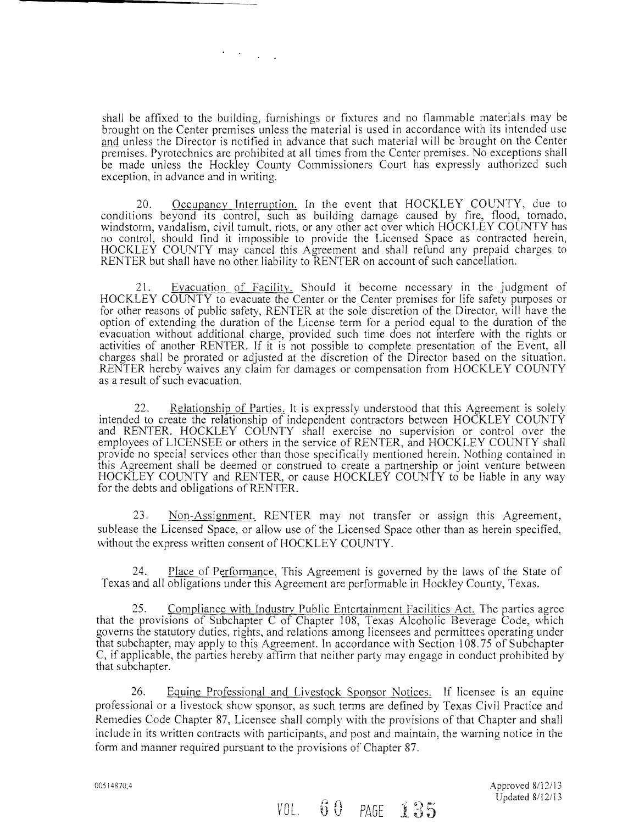shall be affixed to the building, furnishings or fixtures and no flammable materials may be brought on the Center premises unless the material is used in accordance with its intended use and unless the Director is notified in advance that such material will be brought on the Center premises. Pyrotechnics are prohibited at all times from the Center premises. No exceptions shall be made unless the Hockley County Commissioners Court has expressly authorized such exception, in advance and in writing.

20. Occupancy Interruption. In the event that HOCKLEY COUNTY, due to conditions beyond its control, such as building damage caused by fire, flood, tornado, windstorm, vandalism, civil tumult, riots, or any other act over which HOCKLEY COlJNTY has no control, should find it impossible to provide the Licensed Space as contracted herein, HOCKLEY COUNTY may cancel this Agreement and shall refund any prepaid charges to RENTER but shall have no other liability to RENTER on account of such cancellation.

21. Evacuation of Facility. Should it become necessary in the judgment of HOCKLEY COUNTY to evacuate the Center or the Center premises for life safety purposes or for other reasons of public safety, RENTER at the sole discretion of the Director, will have the option of extending the duration of the License term for a period equal to the duration of the evacuation without additional charge, provided such time does not interfere with the rights or activities of another RENTER. If it is not possible to complete presentation of the Event, all charges shall be prorated or adjusted at the discretion of the Director based on the situation. RENTER hereby waives any claim for damages or compensation from HOCKLEY COUNTY as a result of such evacuation.

22. Relationship of Parties. It is expressly understood that this Agreement is solely intended to create the relationship of independent contractors between HOCKLEY COUNTY and RENTER. HOCKLEY COUNTY shall exercise no supervision or control over the employees of LICENSEE or others in the service of RENTER, and HOCKLEY COUNTY shall provide no special services other than those specifically mentioned herein. Nothing contained in this Agreement shall be deemed or construed to create a partnership or joint venture between HOCKLEY COL'NTY and RENTER, or cause HOCKLEY COUNTY to be liable in any way for the debts and obligations of RENTER.

23. Non-Assignment. RENTER may not transfer or assign this Agreement, sublease the Licensed Space, or allow use of the Licensed Space other than as herein specified, without the express written consent of HOCKLEY COUNTY.

Place of Performance. This Agreement is governed by the laws of the State of Texas and all obligations under this Agreement are performable in Hockley County, Texas.

25. Compliance with Industry Public Entertainment Facilities Act. The parties agree that the provisions of Subchapter C of Chapter 108, Texas Alcoholic Beverage Code, which governs the statutory duties, rights, and relations among licensees and permittees operating under that subchapter, may apply to this Agreement. In accordance with Section 108.75 of Subchapter C, if applicable, the parties hereby affirm that neither party may engage in conduct prohibited by that subchapter.

26. Equine Professional and Livestock Sponsor Notices. If licensee is an equine professional or a livestock show sponsor, as such terms are defined by Texas Civil Practice and Remedies Code Chapter 87, Licensee shall comply with the provisions of that Chapter and shall include in its written contracts with participants, and post and maintain, the warning notice in the form and manner required pursuant to the provisions of Chapter 87.

005 [4870,4 Approved *811 2/13*   $V0L$ ,  $60$  PAGE  $135$  Updated 8/12/13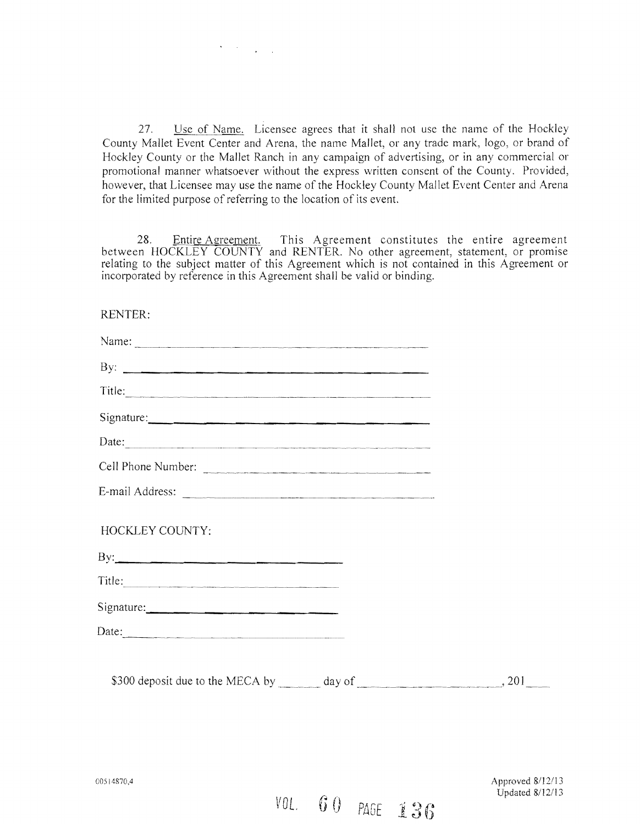27. Use of Name. Licensee agrees that it shall not use the name of the Hockley County Mallet Event Center and Arena, the name Mallet, or any trade mark, logo, or brand of Hockley County or the Mallet Ranch in any campaign of advertising, or in any commercial or promotional manner whatsoever without the express written consent of the County. Provided, however, that Licensee may use the name of the Hockley County Mallet Event Center and Arena for the limited purpose of referring to the location of its event.

 $\mathcal{O}(\mathcal{O}(\log n))$ 

28. Entire Agreement. This Agreement constitutes the entire agreement between HOCKLEY COUNTY and RENTER. No other agreement, statement, or promise relating to the subject matter of this Agreement which is not contained in this Agreement or incorporated by reference in this Agreement shall be valid or binding.

RENTER:

| By: $\qquad \qquad$                                                                                                                                                                                                                                                                                                                                                                                           |  |
|---------------------------------------------------------------------------------------------------------------------------------------------------------------------------------------------------------------------------------------------------------------------------------------------------------------------------------------------------------------------------------------------------------------|--|
| Title:                                                                                                                                                                                                                                                                                                                                                                                                        |  |
|                                                                                                                                                                                                                                                                                                                                                                                                               |  |
| Date:                                                                                                                                                                                                                                                                                                                                                                                                         |  |
| Cell Phone Number:                                                                                                                                                                                                                                                                                                                                                                                            |  |
|                                                                                                                                                                                                                                                                                                                                                                                                               |  |
| HOCKLEY COUNTY:                                                                                                                                                                                                                                                                                                                                                                                               |  |
|                                                                                                                                                                                                                                                                                                                                                                                                               |  |
|                                                                                                                                                                                                                                                                                                                                                                                                               |  |
|                                                                                                                                                                                                                                                                                                                                                                                                               |  |
| Date: $\frac{1}{\sqrt{1-\frac{1}{2}}\sqrt{1-\frac{1}{2}}\sqrt{1-\frac{1}{2}}\sqrt{1-\frac{1}{2}}\sqrt{1-\frac{1}{2}}\sqrt{1-\frac{1}{2}}\sqrt{1-\frac{1}{2}}\sqrt{1-\frac{1}{2}}\sqrt{1-\frac{1}{2}}\sqrt{1-\frac{1}{2}}\sqrt{1-\frac{1}{2}}\sqrt{1-\frac{1}{2}}\sqrt{1-\frac{1}{2}}\sqrt{1-\frac{1}{2}}\sqrt{1-\frac{1}{2}}\sqrt{1-\frac{1}{2}}\sqrt{1-\frac{1}{2}}\sqrt{1-\frac{1}{2}}\sqrt{1-\frac{1}{2}}$ |  |
|                                                                                                                                                                                                                                                                                                                                                                                                               |  |

00514870,4 Approved 8/12/13 Updated 8/12/13

*VOL.* GO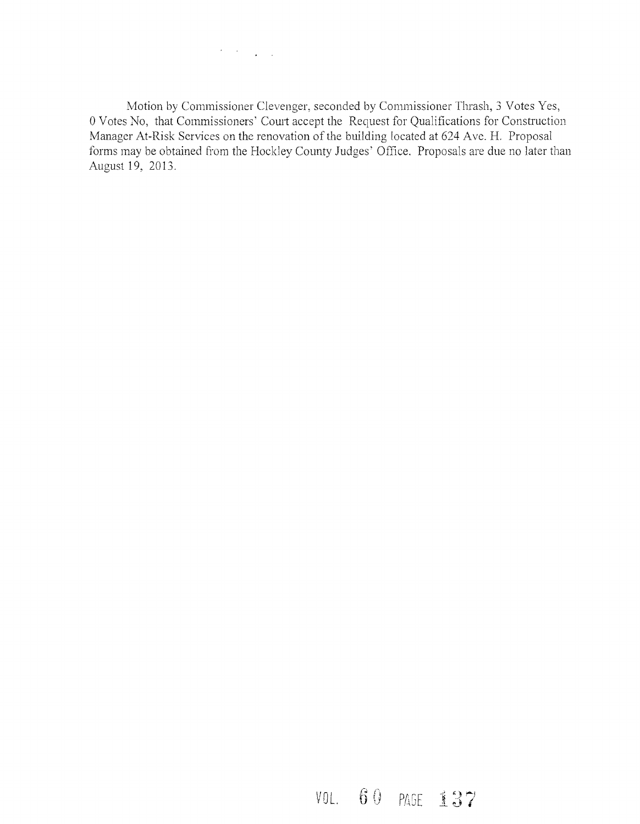$\mathcal{F}^{\mathcal{G}}(\mathcal{F})$  , where  $\mathcal{F}^{\mathcal{G}}(\mathcal{F})$ 

Motion by Commissioner Clevenger, seconded by Commissioner Thrash, 3 Votes Yes, 0 Votes No, that Commissioners' Court accept the Request for Qualifications for Construction Manager At-Risk Services on the renovation of the building located at 624 Ave. H. Proposal forms may be obtained from the Hockley County Judges' Office. Proposals are due no later than August 19, 2013.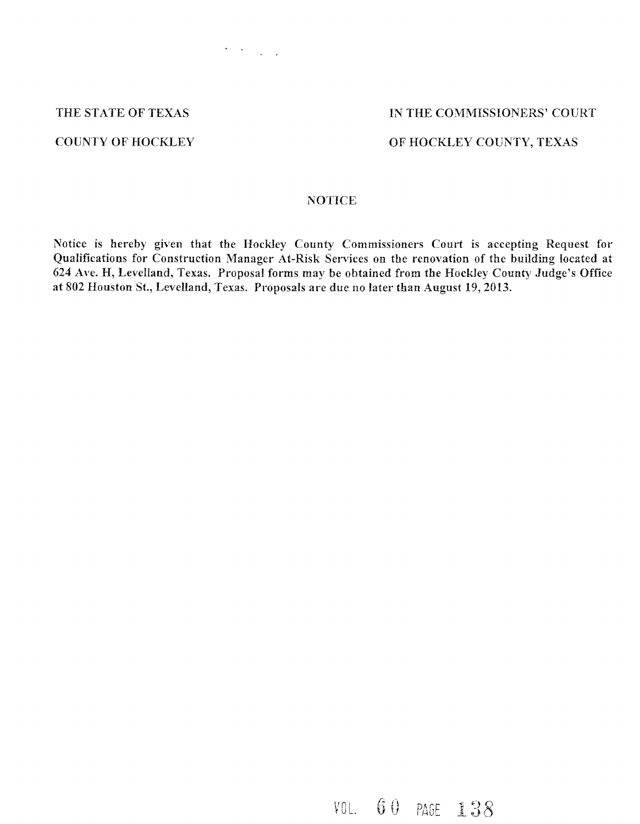### THE STATE OF TEXAS IN THE COMMISSIONERS' COURT

### COUNTY OF HOCKLEY OF HOCKLEY COUNTY, TEXAS

### NOTICE

 $\label{eq:2} \frac{1}{\sqrt{2}}\left(\frac{1}{\sqrt{2}}\right)^{2} \left(\frac{1}{\sqrt{2}}\right)^{2} \left(\frac{1}{\sqrt{2}}\right)^{2} \left(\frac{1}{\sqrt{2}}\right)^{2} \left(\frac{1}{\sqrt{2}}\right)^{2} \left(\frac{1}{\sqrt{2}}\right)^{2} \left(\frac{1}{\sqrt{2}}\right)^{2} \left(\frac{1}{\sqrt{2}}\right)^{2} \left(\frac{1}{\sqrt{2}}\right)^{2} \left(\frac{1}{\sqrt{2}}\right)^{2} \left(\frac{1}{\sqrt{2}}\right)^{2} \left(\frac{$ 

Notice is hereby given that the Hockley County Commissioners Court is accepting Request for Qualifications for Construction Manager At-Risk Services on the renovation of the building located at 624 Ave. H, Levelland, Texas. Proposal forms may be obtained from the Hockley County Judge's Office at 802 Houston St., Levelland, Texas. Proposals are due no later than August 19,2013.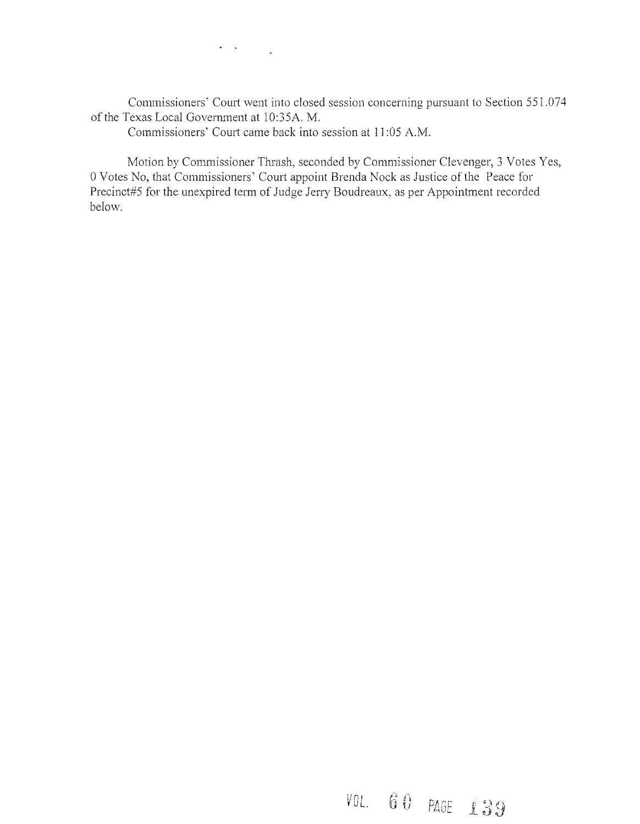Commissioners' Court went into closed session concerning pursuant to Section 551.074 of the Texas Local Government at 1O:35A. M.

Commissioners' Court came back into session at 11 :05 A.M.

 $\sigma_{\rm{max}}$  ,  $\sigma_{\rm{max}}$ 

Motion by Commissioner Thrash, seconded by Commissioner Clevenger, 3 Votes Yes, 0 Votes No, that Commissioners' Court appoint Brenda Nock as Justice of the Peace for Precinct#5 for the unexpired term of Judge Jerry Boudreaux, as per Appointment recorded below.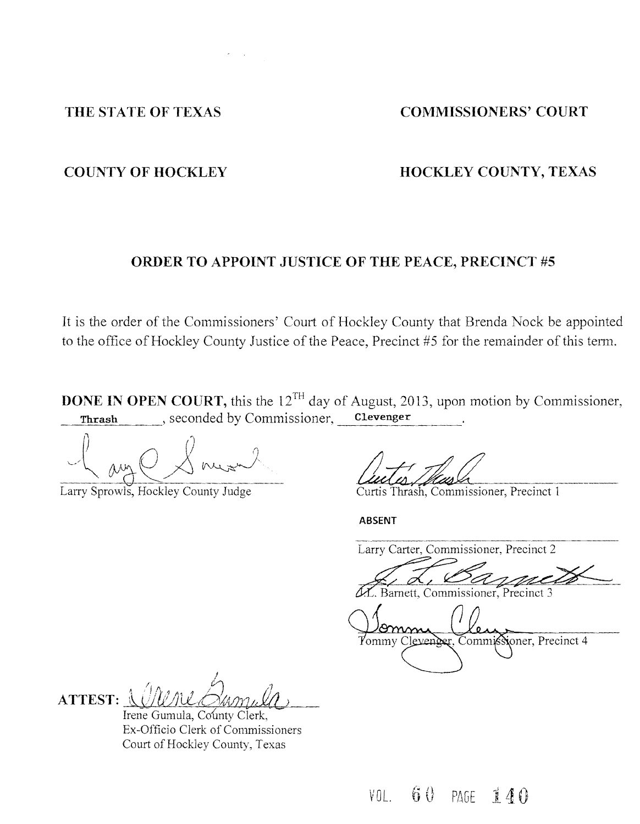### THE STATE OF TEXAS COMMISSIONERS' COURT

### **COUNTY OF HOCKLEY COUNTY, TEXAS**

### **ORDER TO APPOINT JUSTICE OF THE PEACE, PRECINCT #5**

It is the order of the Commissioners' Court of Hockley County that Brenda Nock be appointed to the office of Hockley County Justice of the Peace, Precinct #5 for the remainder of this term.

**DONE IN OPEN COURT,** this the 12<sup>TH</sup> day of August, 2013, upon motion by Commissioner, **Thrash** , seconded by Commissioner, **Clevenger** 

J \ / *t.* Commissioner, Precinct 1

Larry Sprowls, Hockley County Judge

**ABSENT** 

Larry Carter, Commissioner, Precinct 2

mm Yommy Clevenger, Commissioner, Precinct 4

 $\eta$  /  $\eta$  is  $\eta$ ,  $\beta$  in  $\theta$ **ATTEST:** \~1'/ *rJ!J)lX-0:1Al/J2t'J!£()*  Irene Gumula, County Clerk,

Ex-Officio Clerk of Commissioners Court of Hockley County, Texas

60 PAGE 140 VOL.